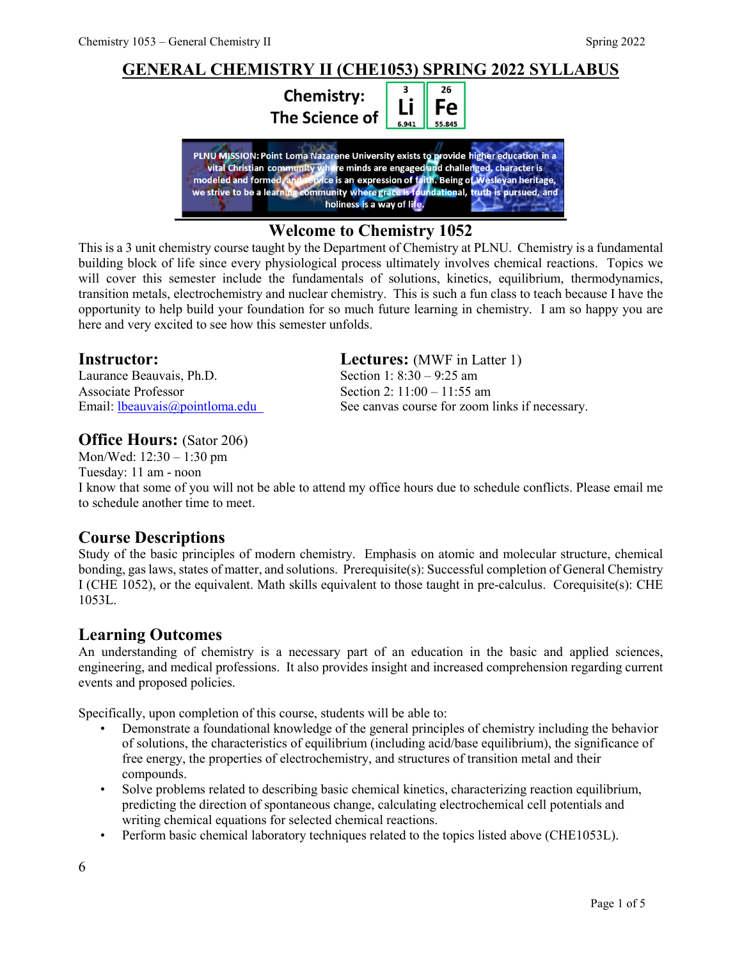#### **GENERAL CHEMISTRY II (CHE1053) SPRING 2022 SYLLABUS** 26 3 **Chemistry:** Li Fe **The Science of** 55.845 6.941 PLNU MISSION: Point Loma Nazarene University exists to provide higher education in a<br>vital Christian community where minds are engaged and challenged, character is<br>modeled and formed, and critice is an expression of faith. holiness is a way of life.

#### **Welcome to Chemistry 1052**

This is a 3 unit chemistry course taught by the Department of Chemistry at PLNU. Chemistry is a fundamental building block of life since every physiological process ultimately involves chemical reactions. Topics we will cover this semester include the fundamentals of solutions, kinetics, equilibrium, thermodynamics, transition metals, electrochemistry and nuclear chemistry. This is such a fun class to teach because I have the opportunity to help build your foundation for so much future learning in chemistry. I am so happy you are here and very excited to see how this semester unfolds.

Laurance Beauvais, Ph.D. Section 1: 8:30 – 9:25 am Associate Professor Section 2: 11:00 – 11:55 am

#### **Office Hours: (Sator 206)**

Mon/Wed: 12:30 – 1:30 pm Tuesday: 11 am - noon

## **Instructor: Lectures:** (MWF in Latter 1)

Email: <u>Ibeauvais@pointloma.edu</u> See canvas course for zoom links if necessary.

I know that some of you will not be able to attend my office hours due to schedule conflicts. Please email me to schedule another time to meet.

#### **Course Descriptions**

Study of the basic principles of modern chemistry. Emphasis on atomic and molecular structure, chemical bonding, gas laws, states of matter, and solutions. Prerequisite(s): Successful completion of General Chemistry I (CHE 1052), or the equivalent. Math skills equivalent to those taught in pre-calculus. Corequisite(s): CHE 1053L.

#### **Learning Outcomes**

An understanding of chemistry is a necessary part of an education in the basic and applied sciences, engineering, and medical professions. It also provides insight and increased comprehension regarding current events and proposed policies.

Specifically, upon completion of this course, students will be able to:

- Demonstrate a foundational knowledge of the general principles of chemistry including the behavior of solutions, the characteristics of equilibrium (including acid/base equilibrium), the significance of free energy, the properties of electrochemistry, and structures of transition metal and their compounds.
- Solve problems related to describing basic chemical kinetics, characterizing reaction equilibrium, predicting the direction of spontaneous change, calculating electrochemical cell potentials and writing chemical equations for selected chemical reactions.
- Perform basic chemical laboratory techniques related to the topics listed above (CHE1053L).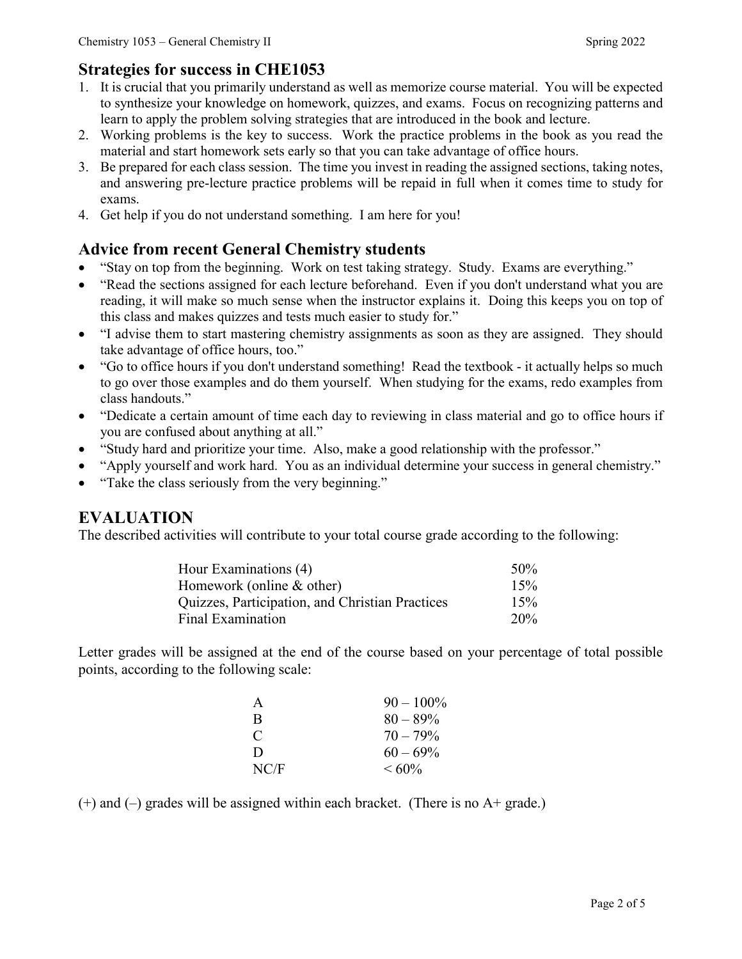#### **Strategies for success in CHE1053**

- 1. It is crucial that you primarily understand as well as memorize course material. You will be expected to synthesize your knowledge on homework, quizzes, and exams. Focus on recognizing patterns and learn to apply the problem solving strategies that are introduced in the book and lecture.
- 2. Working problems is the key to success. Work the practice problems in the book as you read the material and start homework sets early so that you can take advantage of office hours.
- 3. Be prepared for each class session. The time you invest in reading the assigned sections, taking notes, and answering pre-lecture practice problems will be repaid in full when it comes time to study for exams.
- 4. Get help if you do not understand something. I am here for you!

#### **Advice from recent General Chemistry students**

- "Stay on top from the beginning. Work on test taking strategy. Study. Exams are everything."
- "Read the sections assigned for each lecture beforehand. Even if you don't understand what you are reading, it will make so much sense when the instructor explains it. Doing this keeps you on top of this class and makes quizzes and tests much easier to study for."
- "I advise them to start mastering chemistry assignments as soon as they are assigned. They should take advantage of office hours, too."
- "Go to office hours if you don't understand something! Read the textbook it actually helps so much to go over those examples and do them yourself. When studying for the exams, redo examples from class handouts."
- "Dedicate a certain amount of time each day to reviewing in class material and go to office hours if you are confused about anything at all."
- "Study hard and prioritize your time. Also, make a good relationship with the professor."
- "Apply yourself and work hard. You as an individual determine your success in general chemistry."
- "Take the class seriously from the very beginning."

#### **EVALUATION**

The described activities will contribute to your total course grade according to the following:

| Hour Examinations (4)                           | 50% |
|-------------------------------------------------|-----|
| Homework (online & other)                       | 15% |
| Quizzes, Participation, and Christian Practices | 15% |
| Final Examination                               | 20% |

Letter grades will be assigned at the end of the course based on your percentage of total possible points, according to the following scale:

| A             | $90 - 100\%$ |
|---------------|--------------|
| B             | $80 - 89\%$  |
| $\mathcal{C}$ | $70 - 79\%$  |
| D             | $60 - 69\%$  |
| NC/F          | $<60\%$      |

 $(+)$  and  $(-)$  grades will be assigned within each bracket. (There is no A+ grade.)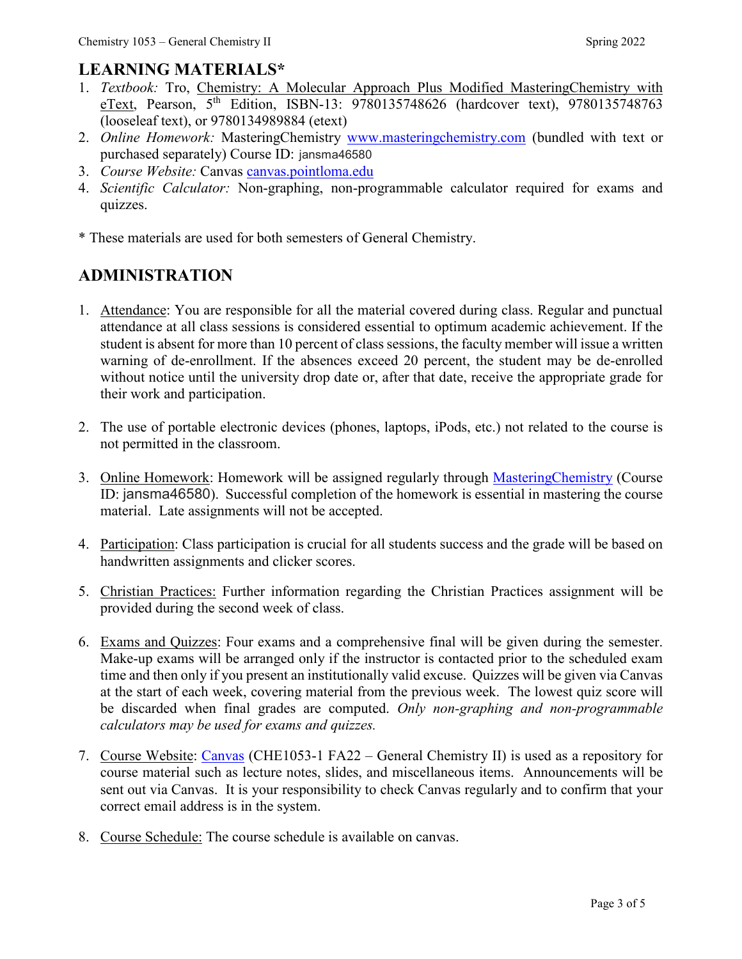## **LEARNING MATERIALS\***

- 1. *Textbook:* Tro, Chemistry: A Molecular Approach Plus Modified MasteringChemistry with eText, Pearson,  $5<sup>th</sup>$  Edition, ISBN-13: 9780135748626 (hardcover text), 9780135748763 (looseleaf text), or 9780134989884 (etext)
- 2. *Online Homework:* MasteringChemistry [www.masteringchemistry.com](http://www.masteringchemistry.com/) (bundled with text or purchased separately) Course ID: jansma46580
- 3. *Course Website:* Canvas [canvas.pointloma.edu](https://canvas.pointloma.edu/)
- 4. *Scientific Calculator:* Non-graphing, non-programmable calculator required for exams and quizzes.
- \* These materials are used for both semesters of General Chemistry.

# **ADMINISTRATION**

- 1. Attendance: You are responsible for all the material covered during class. Regular and punctual attendance at all class sessions is considered essential to optimum academic achievement. If the student is absent for more than 10 percent of class sessions, the faculty member will issue a written warning of de-enrollment. If the absences exceed 20 percent, the student may be de-enrolled without notice until the university drop date or, after that date, receive the appropriate grade for their work and participation.
- 2. The use of portable electronic devices (phones, laptops, iPods, etc.) not related to the course is not permitted in the classroom.
- 3. Online Homework: Homework will be assigned regularly through Mastering Chemistry (Course ID: jansma46580). Successful completion of the homework is essential in mastering the course material. Late assignments will not be accepted.
- 4. Participation: Class participation is crucial for all students success and the grade will be based on handwritten assignments and clicker scores.
- 5. Christian Practices: Further information regarding the Christian Practices assignment will be provided during the second week of class.
- 6. Exams and Quizzes: Four exams and a comprehensive final will be given during the semester. Make-up exams will be arranged only if the instructor is contacted prior to the scheduled exam time and then only if you present an institutionally valid excuse. Quizzes will be given via Canvas at the start of each week, covering material from the previous week. The lowest quiz score will be discarded when final grades are computed. *Only non-graphing and non-programmable calculators may be used for exams and quizzes.*
- 7. Course Website: [Canvas](https://canvas.pointloma.edu/) (CHE1053-1 FA22 General Chemistry II) is used as a repository for course material such as lecture notes, slides, and miscellaneous items. Announcements will be sent out via Canvas. It is your responsibility to check Canvas regularly and to confirm that your correct email address is in the system.
- 8. Course Schedule: The course schedule is available on canvas.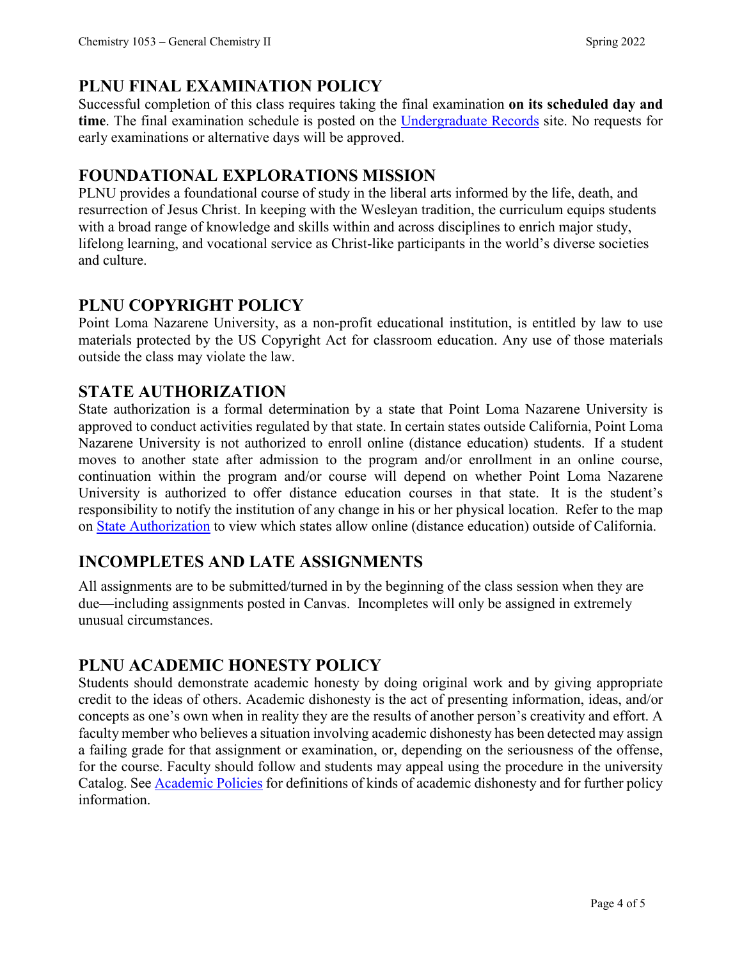## **PLNU FINAL EXAMINATION POLICY**

Successful completion of this class requires taking the final examination **on its scheduled day and time**. The final examination schedule is posted on the [Undergraduate Records](https://www.pointloma.edu/offices/records/undergraduate-records) site. No requests for early examinations or alternative days will be approved.

## **FOUNDATIONAL EXPLORATIONS MISSION**

PLNU provides a foundational course of study in the liberal arts informed by the life, death, and resurrection of Jesus Christ. In keeping with the Wesleyan tradition, the curriculum equips students with a broad range of knowledge and skills within and across disciplines to enrich major study, lifelong learning, and vocational service as Christ-like participants in the world's diverse societies and culture.

## **PLNU COPYRIGHT POLICY**

Point Loma Nazarene University, as a non-profit educational institution, is entitled by law to use materials protected by the US Copyright Act for classroom education. Any use of those materials outside the class may violate the law.

## **STATE AUTHORIZATION**

State authorization is a formal determination by a state that Point Loma Nazarene University is approved to conduct activities regulated by that state. In certain states outside California, Point Loma Nazarene University is not authorized to enroll online (distance education) students. If a student moves to another state after admission to the program and/or enrollment in an online course, continuation within the program and/or course will depend on whether Point Loma Nazarene University is authorized to offer distance education courses in that state. It is the student's responsibility to notify the institution of any change in his or her physical location. Refer to the map on [State Authorization](https://www.pointloma.edu/offices/office-institutional-effectiveness-research/disclosures) to view which states allow online (distance education) outside of California.

## **INCOMPLETES AND LATE ASSIGNMENTS**

All assignments are to be submitted/turned in by the beginning of the class session when they are due—including assignments posted in Canvas. Incompletes will only be assigned in extremely unusual circumstances.

#### **PLNU ACADEMIC HONESTY POLICY**

Students should demonstrate academic honesty by doing original work and by giving appropriate credit to the ideas of others. Academic dishonesty is the act of presenting information, ideas, and/or concepts as one's own when in reality they are the results of another person's creativity and effort. A faculty member who believes a situation involving academic dishonesty has been detected may assign a failing grade for that assignment or examination, or, depending on the seriousness of the offense, for the course. Faculty should follow and students may appeal using the procedure in the university Catalog. See **Academic Policies** for definitions of kinds of academic dishonesty and for further policy information.